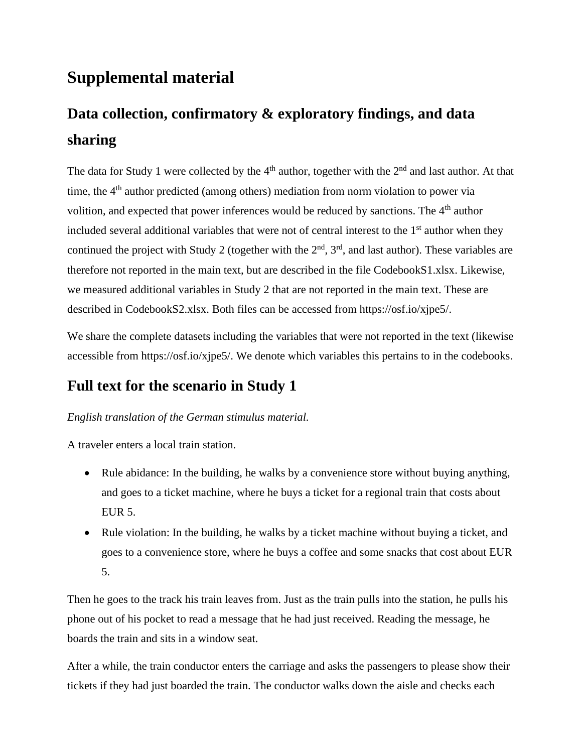# **Supplemental material**

# **Data collection, confirmatory & exploratory findings, and data sharing**

The data for Study 1 were collected by the  $4<sup>th</sup>$  author, together with the  $2<sup>nd</sup>$  and last author. At that time, the  $4<sup>th</sup>$  author predicted (among others) mediation from norm violation to power via volition, and expected that power inferences would be reduced by sanctions. The 4<sup>th</sup> author included several additional variables that were not of central interest to the  $1<sup>st</sup>$  author when they continued the project with Study 2 (together with the  $2<sup>nd</sup>$ ,  $3<sup>rd</sup>$ , and last author). These variables are therefore not reported in the main text, but are described in the file CodebookS1.xlsx. Likewise, we measured additional variables in Study 2 that are not reported in the main text. These are described in CodebookS2.xlsx. Both files can be accessed from [https://osf.io/xjpe5/.](https://eur04.safelinks.protection.outlook.com/?url=https%3A%2F%2Fosf.io%2Fxjpe5%2F&data=04%7C01%7CA.E.M.vanVianen%40uva.nl%7C5f1293ef5bb84510ade608d93e194db7%7Ca0f1cacd618c4403b94576fb3d6874e5%7C1%7C1%7C637609100669142373%7CUnknown%7CTWFpbGZsb3d8eyJWIjoiMC4wLjAwMDAiLCJQIjoiV2luMzIiLCJBTiI6Ik1haWwiLCJXVCI6Mn0%3D%7C1000&sdata=cC5XWnJaQkZ2ru1tAEUoxEdaj2iDBruKCL9qr5bU%2BtA%3D&reserved=0)

We share the complete datasets including the variables that were not reported in the text (likewise accessible from [https://osf.io/xjpe5/.](https://eur04.safelinks.protection.outlook.com/?url=https%3A%2F%2Fosf.io%2Fxjpe5%2F&data=04%7C01%7CA.E.M.vanVianen%40uva.nl%7C5f1293ef5bb84510ade608d93e194db7%7Ca0f1cacd618c4403b94576fb3d6874e5%7C1%7C1%7C637609100669142373%7CUnknown%7CTWFpbGZsb3d8eyJWIjoiMC4wLjAwMDAiLCJQIjoiV2luMzIiLCJBTiI6Ik1haWwiLCJXVCI6Mn0%3D%7C1000&sdata=cC5XWnJaQkZ2ru1tAEUoxEdaj2iDBruKCL9qr5bU%2BtA%3D&reserved=0) We denote which variables this pertains to in the codebooks.

# **Full text for the scenario in Study 1**

#### *English translation of the German stimulus material.*

A traveler enters a local train station.

- Rule abidance: In the building, he walks by a convenience store without buying anything, and goes to a ticket machine, where he buys a ticket for a regional train that costs about EUR 5.
- Rule violation: In the building, he walks by a ticket machine without buying a ticket, and goes to a convenience store, where he buys a coffee and some snacks that cost about EUR 5.

Then he goes to the track his train leaves from. Just as the train pulls into the station, he pulls his phone out of his pocket to read a message that he had just received. Reading the message, he boards the train and sits in a window seat.

After a while, the train conductor enters the carriage and asks the passengers to please show their tickets if they had just boarded the train. The conductor walks down the aisle and checks each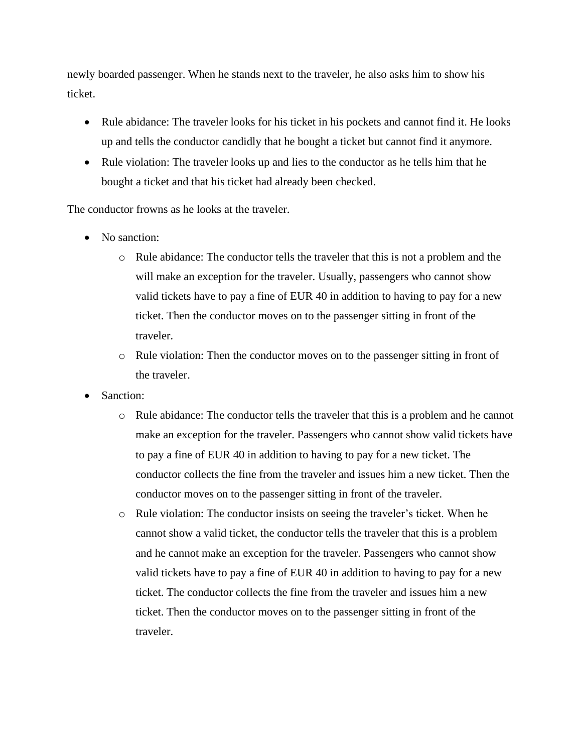newly boarded passenger. When he stands next to the traveler, he also asks him to show his ticket.

- Rule abidance: The traveler looks for his ticket in his pockets and cannot find it. He looks up and tells the conductor candidly that he bought a ticket but cannot find it anymore.
- Rule violation: The traveler looks up and lies to the conductor as he tells him that he bought a ticket and that his ticket had already been checked.

The conductor frowns as he looks at the traveler.

- No sanction:
	- o Rule abidance: The conductor tells the traveler that this is not a problem and the will make an exception for the traveler. Usually, passengers who cannot show valid tickets have to pay a fine of EUR 40 in addition to having to pay for a new ticket. Then the conductor moves on to the passenger sitting in front of the traveler.
	- o Rule violation: Then the conductor moves on to the passenger sitting in front of the traveler.
- Sanction:
	- o Rule abidance: The conductor tells the traveler that this is a problem and he cannot make an exception for the traveler. Passengers who cannot show valid tickets have to pay a fine of EUR 40 in addition to having to pay for a new ticket. The conductor collects the fine from the traveler and issues him a new ticket. Then the conductor moves on to the passenger sitting in front of the traveler.
	- o Rule violation: The conductor insists on seeing the traveler's ticket. When he cannot show a valid ticket, the conductor tells the traveler that this is a problem and he cannot make an exception for the traveler. Passengers who cannot show valid tickets have to pay a fine of EUR 40 in addition to having to pay for a new ticket. The conductor collects the fine from the traveler and issues him a new ticket. Then the conductor moves on to the passenger sitting in front of the traveler.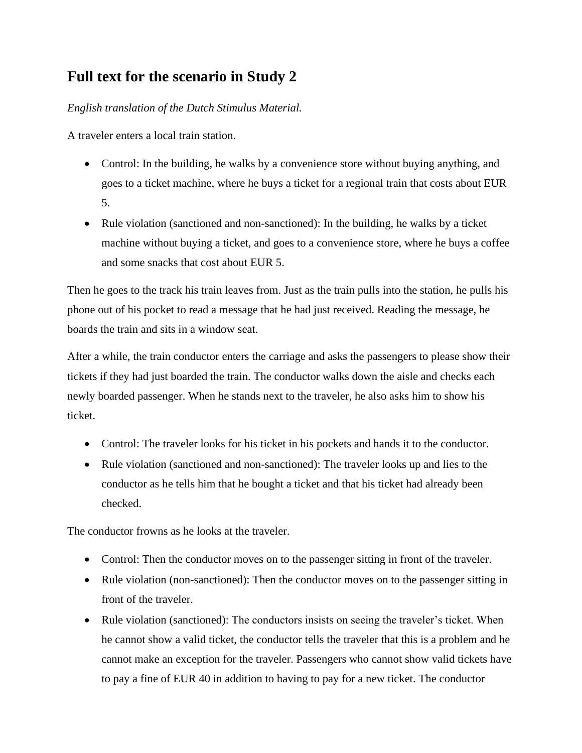## **Full text for the scenario in Study 2**

*English translation of the Dutch Stimulus Material.*

A traveler enters a local train station.

- Control: In the building, he walks by a convenience store without buying anything, and goes to a ticket machine, where he buys a ticket for a regional train that costs about EUR 5.
- Rule violation (sanctioned and non-sanctioned): In the building, he walks by a ticket machine without buying a ticket, and goes to a convenience store, where he buys a coffee and some snacks that cost about EUR 5.

Then he goes to the track his train leaves from. Just as the train pulls into the station, he pulls his phone out of his pocket to read a message that he had just received. Reading the message, he boards the train and sits in a window seat.

After a while, the train conductor enters the carriage and asks the passengers to please show their tickets if they had just boarded the train. The conductor walks down the aisle and checks each newly boarded passenger. When he stands next to the traveler, he also asks him to show his ticket.

- Control: The traveler looks for his ticket in his pockets and hands it to the conductor.
- Rule violation (sanctioned and non-sanctioned): The traveler looks up and lies to the conductor as he tells him that he bought a ticket and that his ticket had already been checked.

The conductor frowns as he looks at the traveler.

- Control: Then the conductor moves on to the passenger sitting in front of the traveler.
- Rule violation (non-sanctioned): Then the conductor moves on to the passenger sitting in front of the traveler.
- Rule violation (sanctioned): The conductors insists on seeing the traveler's ticket. When he cannot show a valid ticket, the conductor tells the traveler that this is a problem and he cannot make an exception for the traveler. Passengers who cannot show valid tickets have to pay a fine of EUR 40 in addition to having to pay for a new ticket. The conductor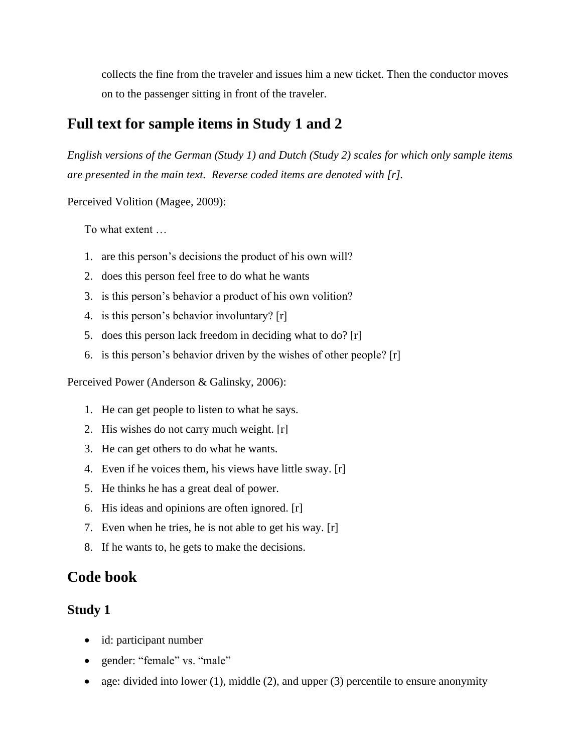collects the fine from the traveler and issues him a new ticket. Then the conductor moves on to the passenger sitting in front of the traveler.

## **Full text for sample items in Study 1 and 2**

*English versions of the German (Study 1) and Dutch (Study 2) scales for which only sample items are presented in the main text. Reverse coded items are denoted with [r].* 

Perceived Volition (Magee, 2009):

To what extent …

- 1. are this person's decisions the product of his own will?
- 2. does this person feel free to do what he wants
- 3. is this person's behavior a product of his own volition?
- 4. is this person's behavior involuntary? [r]
- 5. does this person lack freedom in deciding what to do? [r]
- 6. is this person's behavior driven by the wishes of other people? [r]

Perceived Power (Anderson & Galinsky, 2006):

- 1. He can get people to listen to what he says.
- 2. His wishes do not carry much weight. [r]
- 3. He can get others to do what he wants.
- 4. Even if he voices them, his views have little sway. [r]
- 5. He thinks he has a great deal of power.
- 6. His ideas and opinions are often ignored. [r]
- 7. Even when he tries, he is not able to get his way. [r]
- 8. If he wants to, he gets to make the decisions.

### **Code book**

#### **Study 1**

- id: participant number
- gender: "female" vs. "male"
- age: divided into lower (1), middle (2), and upper (3) percentile to ensure anonymity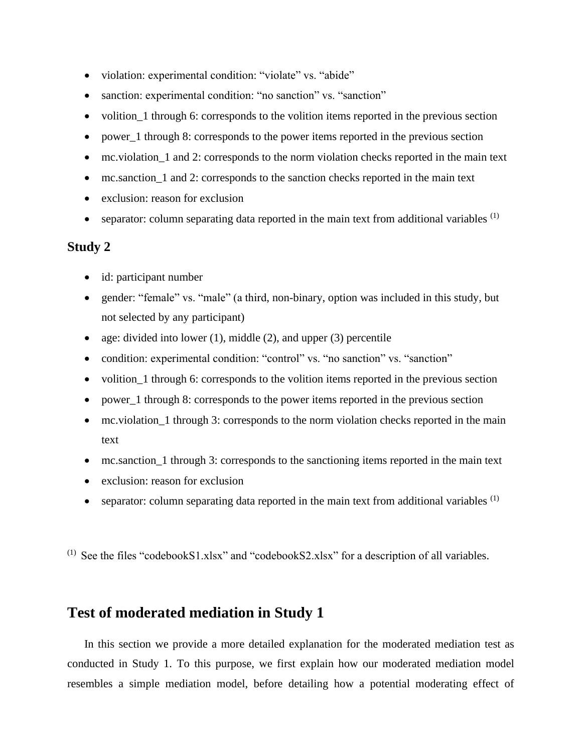- violation: experimental condition: "violate" vs. "abide"
- sanction: experimental condition: "no sanction" vs. "sanction"
- volition 1 through 6: corresponds to the volition items reported in the previous section
- power 1 through 8: corresponds to the power items reported in the previous section
- mc.violation\_1 and 2: corresponds to the norm violation checks reported in the main text
- mc.sanction\_1 and 2: corresponds to the sanction checks reported in the main text
- exclusion: reason for exclusion
- separator: column separating data reported in the main text from additional variables  $<sup>(1)</sup>$ </sup>

#### **Study 2**

- id: participant number
- gender: "female" vs. "male" (a third, non-binary, option was included in this study, but not selected by any participant)
- age: divided into lower  $(1)$ , middle  $(2)$ , and upper  $(3)$  percentile
- condition: experimental condition: "control" vs. "no sanction" vs. "sanction"
- volition 1 through 6: corresponds to the volition items reported in the previous section
- power\_1 through 8: corresponds to the power items reported in the previous section
- mc.violation\_1 through 3: corresponds to the norm violation checks reported in the main text
- mc.sanction 1 through 3: corresponds to the sanctioning items reported in the main text
- exclusion: reason for exclusion
- separator: column separating data reported in the main text from additional variables  $<sup>(1)</sup>$ </sup>

 $(1)$  See the files "codebookS1.xlsx" and "codebookS2.xlsx" for a description of all variables.

### **Test of moderated mediation in Study 1**

In this section we provide a more detailed explanation for the moderated mediation test as conducted in Study 1. To this purpose, we first explain how our moderated mediation model resembles a simple mediation model, before detailing how a potential moderating effect of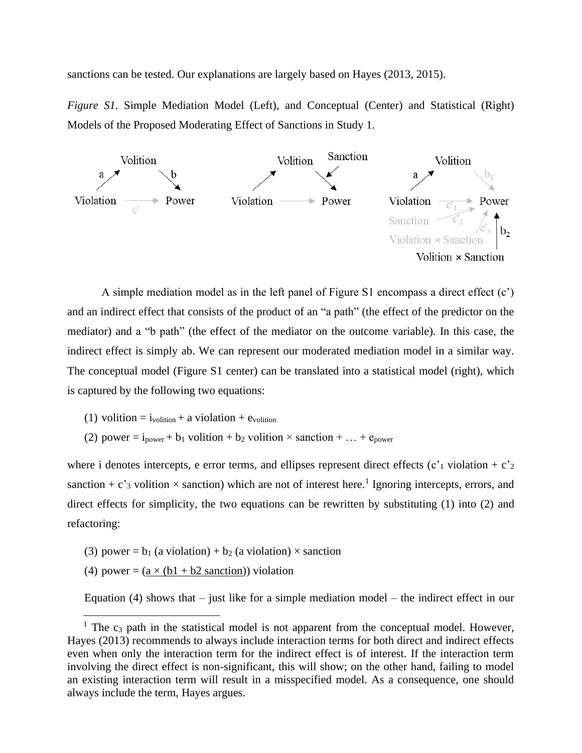sanctions can be tested. Our explanations are largely based on Hayes (2013, 2015).

*Figure S1.* Simple Mediation Model (Left), and Conceptual (Center) and Statistical (Right) Models of the Proposed Moderating Effect of Sanctions in Study 1.



A simple mediation model as in the left panel of Figure S1 encompass a direct effect (c') and an indirect effect that consists of the product of an "a path" (the effect of the predictor on the mediator) and a "b path" (the effect of the mediator on the outcome variable). In this case, the indirect effect is simply ab. We can represent our moderated mediation model in a similar way. The conceptual model (Figure S1 center) can be translated into a statistical model (right), which is captured by the following two equations:

- (1) volition =  $i_{\text{volition}} + a$  violation +  $e_{\text{volition}}$
- (2) power =  $i_{power} + b_1$  volition +  $b_2$  volition × sanction + ... +  $e_{power}$

where i denotes intercepts, e error terms, and ellipses represent direct effects  $(c<sup>2</sup>1$  violation +  $c<sup>2</sup>2$ sanction + c'<sub>3</sub> volition  $\times$  sanction) which are not of interest here.<sup>1</sup> Ignoring intercepts, errors, and direct effects for simplicity, the two equations can be rewritten by substituting (1) into (2) and refactoring:

- (3) power =  $b_1$  (a violation) +  $b_2$  (a violation) × sanction
- (4) power =  $(a \times (b1 + b2 \text{ sanction}))$  violation

Equation (4) shows that  $-$  just like for a simple mediation model  $-$  the indirect effect in our

<sup>&</sup>lt;sup>1</sup> The  $c_3$  path in the statistical model is not apparent from the conceptual model. However, Hayes (2013) recommends to always include interaction terms for both direct and indirect effects even when only the interaction term for the indirect effect is of interest. If the interaction term involving the direct effect is non-significant, this will show; on the other hand, failing to model an existing interaction term will result in a misspecified model. As a consequence, one should always include the term, Hayes argues.